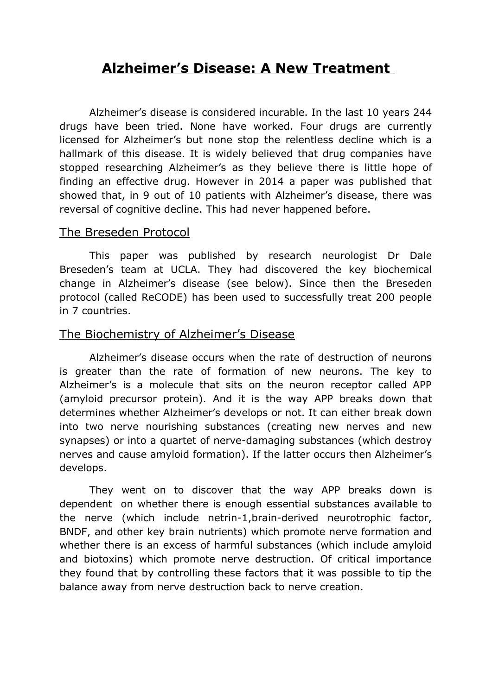# **Alzheimer's Disease: A New Treatment**

Alzheimer's disease is considered incurable. In the last 10 years 244 drugs have been tried. None have worked. Four drugs are currently licensed for Alzheimer's but none stop the relentless decline which is a hallmark of this disease. It is widely believed that drug companies have stopped researching Alzheimer's as they believe there is little hope of finding an effective drug. However in 2014 a paper was published that showed that, in 9 out of 10 patients with Alzheimer's disease, there was reversal of cognitive decline. This had never happened before.

#### The Breseden Protocol

This paper was published by research neurologist Dr Dale Breseden's team at UCLA. They had discovered the key biochemical change in Alzheimer's disease (see below). Since then the Breseden protocol (called ReCODE) has been used to successfully treat 200 people in 7 countries.

# The Biochemistry of Alzheimer's Disease

Alzheimer's disease occurs when the rate of destruction of neurons is greater than the rate of formation of new neurons. The key to Alzheimer's is a molecule that sits on the neuron receptor called APP (amyloid precursor protein). And it is the way APP breaks down that determines whether Alzheimer's develops or not. It can either break down into two nerve nourishing substances (creating new nerves and new synapses) or into a quartet of nerve-damaging substances (which destroy nerves and cause amyloid formation). If the latter occurs then Alzheimer's develops.

They went on to discover that the way APP breaks down is dependent on whether there is enough essential substances available to the nerve (which include netrin-1,brain-derived neurotrophic factor, BNDF, and other key brain nutrients) which promote nerve formation and whether there is an excess of harmful substances (which include amyloid and biotoxins) which promote nerve destruction. Of critical importance they found that by controlling these factors that it was possible to tip the balance away from nerve destruction back to nerve creation.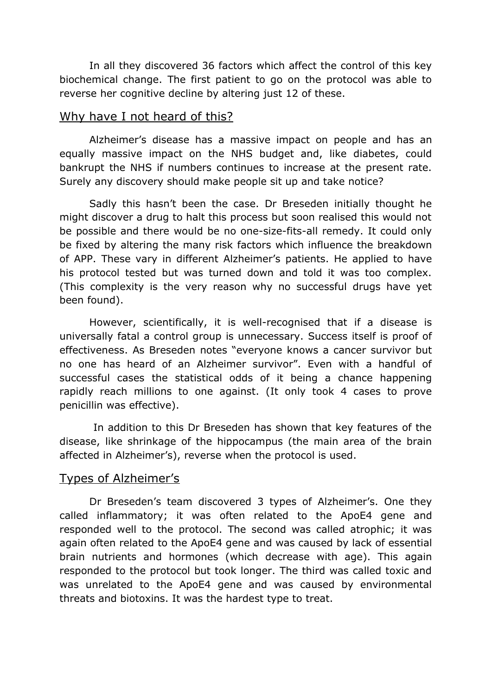In all they discovered 36 factors which affect the control of this key biochemical change. The first patient to go on the protocol was able to reverse her cognitive decline by altering just 12 of these.

## Why have I not heard of this?

Alzheimer's disease has a massive impact on people and has an equally massive impact on the NHS budget and, like diabetes, could bankrupt the NHS if numbers continues to increase at the present rate. Surely any discovery should make people sit up and take notice?

Sadly this hasn't been the case. Dr Breseden initially thought he might discover a drug to halt this process but soon realised this would not be possible and there would be no one-size-fits-all remedy. It could only be fixed by altering the many risk factors which influence the breakdown of APP. These vary in different Alzheimer's patients. He applied to have his protocol tested but was turned down and told it was too complex. (This complexity is the very reason why no successful drugs have yet been found).

However, scientifically, it is well-recognised that if a disease is universally fatal a control group is unnecessary. Success itself is proof of effectiveness. As Breseden notes "everyone knows a cancer survivor but no one has heard of an Alzheimer survivor". Even with a handful of successful cases the statistical odds of it being a chance happening rapidly reach millions to one against. (It only took 4 cases to prove penicillin was effective).

In addition to this Dr Breseden has shown that key features of the disease, like shrinkage of the hippocampus (the main area of the brain affected in Alzheimer's), reverse when the protocol is used.

# Types of Alzheimer's

Dr Breseden's team discovered 3 types of Alzheimer's. One they called inflammatory; it was often related to the ApoE4 gene and responded well to the protocol. The second was called atrophic; it was again often related to the ApoE4 gene and was caused by lack of essential brain nutrients and hormones (which decrease with age). This again responded to the protocol but took longer. The third was called toxic and was unrelated to the ApoE4 gene and was caused by environmental threats and biotoxins. It was the hardest type to treat.